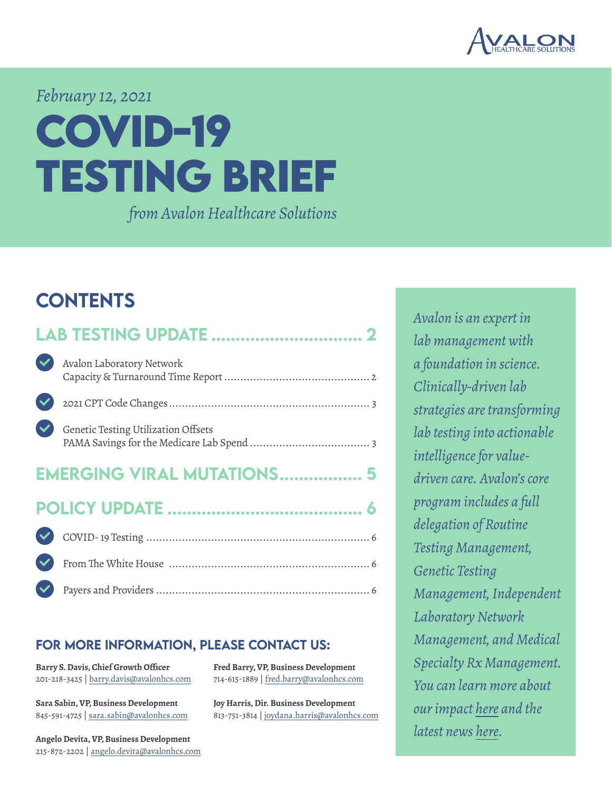

#### *February 12, 2021*

# **COVID-19 TESTING BRIEF**

*from Avalon Healthcare Solutions*

#### **CONTENTS**

|                                   | Avalon Laboratory Network           |  |  |
|-----------------------------------|-------------------------------------|--|--|
|                                   |                                     |  |  |
|                                   | Genetic Testing Utilization Offsets |  |  |
| <b>EMERGING VIRAL MUTATIONS 5</b> |                                     |  |  |
|                                   |                                     |  |  |
|                                   |                                     |  |  |
|                                   |                                     |  |  |
|                                   |                                     |  |  |

#### for more information, please contact us:

**Barry S. Davis, Chief Growth Officer** 201-218-3425 | barry.davis@avalonhcs.com

**Sara Sabin, VP, Business Development** 845-591-4725 | sara.sabin@avalonhcs.com

**Angelo Devita, VP, Business Development** 215-872-2202 | angelo.devita@avalonhcs.com

**Fred Barry, VP, Business Development** 714-615-1889 | fred.barry@avalonhcs.com

**Joy Harris, Dir. Business Development** 813-751-3814 | joydana.harris@avalonhcs.com *Avalon is an expert in lab management with a foundation in science. Clinically-driven lab strategies are transforming lab testing into actionable intelligence for valuedriven care. Avalon's core program includes a full delegation of Routine Testing Management, Genetic Testing Management, Independent Laboratory Network Management, and Medical Specialty Rx Management. You can learn more about our impact [here](https://www.avalonhcs.com/customers/index.html) and the latest news [here.](https://www.avalonhcs.com/company/index.html)*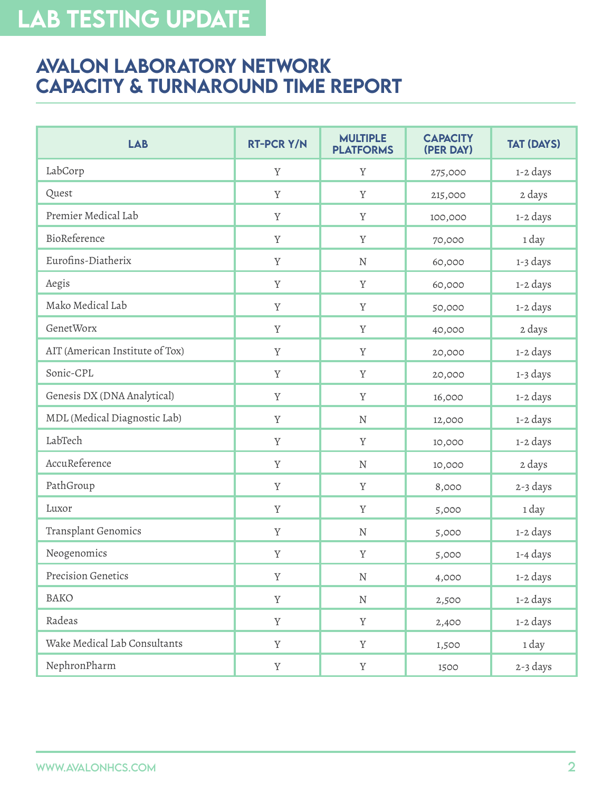## <span id="page-1-0"></span>Lab TESTING UPDATE

#### **AVALON LABORATORY NETWORK** Capacity & Turnaround Time Report

| <b>LAB</b>                      | <b>RT-PCR Y/N</b> | <b>MULTIPLE</b><br><b>PLATFORMS</b> | <b>CAPACITY</b><br>(PER DAY) | <b>TAT (DAYS)</b> |
|---------------------------------|-------------------|-------------------------------------|------------------------------|-------------------|
| LabCorp                         | Y                 | Y                                   | 275,000                      | 1-2 days          |
| Quest                           | Y                 | Y                                   | 215,000                      | 2 days            |
| Premier Medical Lab             | Y                 | Y                                   | 100,000                      | 1-2 days          |
| BioReference                    | $\mathbf Y$       | $\rm Y$                             | 70,000                       | 1 day             |
| Eurofins-Diatherix              | $\mathbf Y$       | ${\bf N}$                           | 60,000                       | 1-3 days          |
| Aegis                           | Y                 | Y                                   | 60,000                       | 1-2 days          |
| Mako Medical Lab                | Y                 | $\mathbf Y$                         | 50,000                       | 1-2 days          |
| GenetWorx                       | $\mathbf Y$       | $\rm Y$                             | 40,000                       | 2 days            |
| AIT (American Institute of Tox) | Y                 | Y                                   | 20,000                       | 1-2 days          |
| Sonic-CPL                       | $\mathbf Y$       | $\rm Y$                             | 20,000                       | 1-3 days          |
| Genesis DX (DNA Analytical)     | Y                 | Y                                   | 16,000                       | 1-2 days          |
| MDL (Medical Diagnostic Lab)    | $\mathbf Y$       | ${\rm N}$                           | 12,000                       | 1-2 days          |
| LabTech                         | $\mathbf Y$       | Y                                   | 10,000                       | 1-2 days          |
| AccuReference                   | Y                 | ${\bf N}$                           | 10,000                       | 2 days            |
| PathGroup                       | $\mathbf Y$       | $\mathbf Y$                         | 8,000                        | 2-3 days          |
| Luxor                           | $\mathbf Y$       | $\rm Y$                             | 5,000                        | 1 day             |
| Transplant Genomics             | $\mathbf Y$       | ${\bf N}$                           | 5,000                        | 1-2 days          |
| Neogenomics                     | $\mathbf Y$       | Y                                   | 5,000                        | 1-4 days          |
| Precision Genetics              | $\mathbf Y$       | ${\bf N}$                           | 4,000                        | 1-2 days          |
| <b>BAKO</b>                     | $\mathbf Y$       | ${\bf N}$                           | 2,500                        | 1-2 days          |
| Radeas                          | $\mathbf Y$       | $\mathbf Y$                         | 2,400                        | 1-2 days          |
| Wake Medical Lab Consultants    | $\mathbf Y$       | Y                                   | 1,500                        | 1 day             |
| NephronPharm                    | $\mathbf Y$       | $\mathbf Y$                         | 1500                         | 2-3 days          |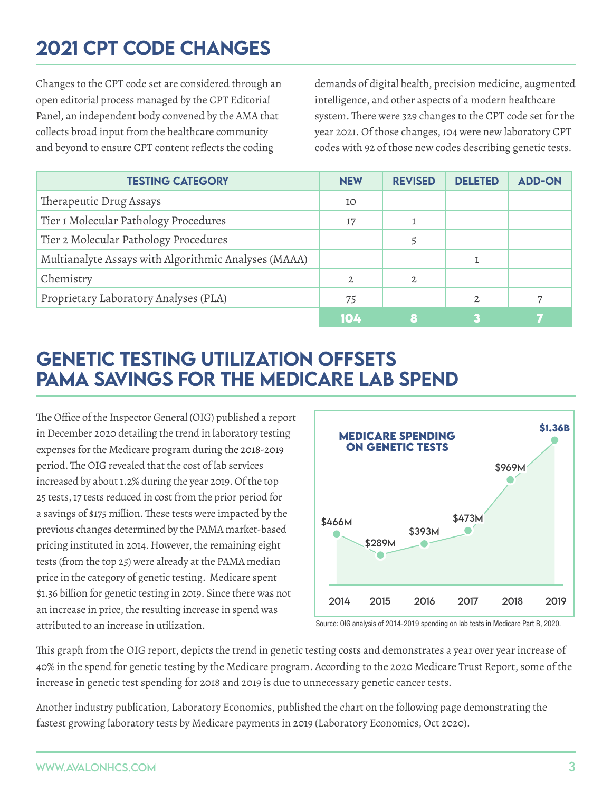## <span id="page-2-0"></span>2021 CPT Code Changes

Changes to the CPT code set are considered through an open editorial process managed by the CPT Editorial Panel, an independent body convened by the AMA that collects broad input from the healthcare community and beyond to ensure CPT content reflects the coding

demands of digital health, precision medicine, augmented intelligence, and other aspects of a modern healthcare system. There were 329 changes to the CPT code set for the year 2021. Of those changes, 104 were new laboratory CPT codes with 92 of those new codes describing genetic tests.

| <b>TESTING CATEGORY</b>                              | <b>NEW</b>     | <b>REVISED</b> | <b>DELETED</b> | <b>ADD-ON</b> |
|------------------------------------------------------|----------------|----------------|----------------|---------------|
| Therapeutic Drug Assays                              | 10             |                |                |               |
| Tier 1 Molecular Pathology Procedures                | 17             |                |                |               |
| Tier 2 Molecular Pathology Procedures                |                |                |                |               |
| Multianalyte Assays with Algorithmic Analyses (MAAA) |                |                |                |               |
| Chemistry                                            | $\mathfrak{2}$ | $\mathfrak{2}$ |                |               |
| Proprietary Laboratory Analyses (PLA)                | 75             |                | $\mathfrak{D}$ |               |
|                                                      | 104            |                |                |               |

#### Genetic Testing Utilization Offsets PAMA Savings for the Medicare Lab Spend

The Office of the Inspector General (OIG) published a report in December 2020 detailing the trend in laboratory testing expenses for the Medicare program during the 2018-2019 period.The OIG revealed that the cost of lab services increased by about 1.2% during the year 2019. Of the top 25 tests, 17 tests reduced in cost from the prior period for a savings of \$175 million.These tests were impacted by the previous changes determined by the PAMA market-based pricing instituted in 2014. However, the remaining eight tests (from the top 25) were already at the PAMA median price in the category of genetic testing. Medicare spent \$1.36 billion for genetic testing in 2019. Since there was not an increase in price, the resulting increase in spend was attributed to an increase in utilization.



Source: OIG analysis of 2014-2019 spending on lab tests in Medicare Part B, 2020.

This graph from the OIG report, depicts the trend in genetic testing costs and demonstrates a year over year increase of 40% in the spend for genetic testing by the Medicare program. According to the 2020 Medicare Trust Report, some of the increase in genetic test spending for 2018 and 2019 is due to unnecessary genetic cancer tests.

Another industry publication, Laboratory Economics, published the chart on the following page demonstrating the fastest growing laboratory tests by Medicare payments in 2019 (Laboratory Economics, Oct 2020).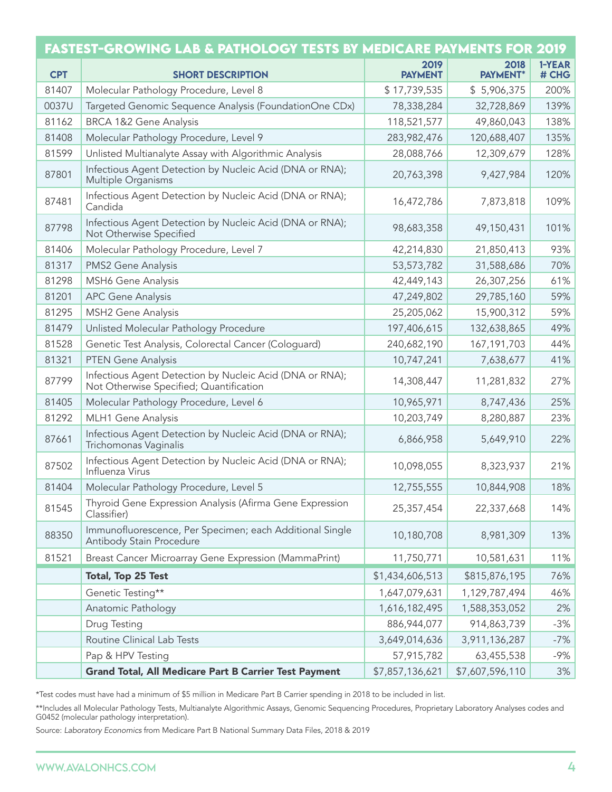|            | FASTEST-GROWING LAB & PATHOLOGY TESTS BY MEDICARE PAYMENTS FOR 2019                                 |                        |                  |                 |
|------------|-----------------------------------------------------------------------------------------------------|------------------------|------------------|-----------------|
| <b>CPT</b> | <b>SHORT DESCRIPTION</b>                                                                            | 2019<br><b>PAYMENT</b> | 2018<br>PAYMENT* | 1-YEAR<br># CHG |
| 81407      | Molecular Pathology Procedure, Level 8                                                              | \$17,739,535           | \$5,906,375      | 200%            |
| 0037U      | Targeted Genomic Sequence Analysis (FoundationOne CDx)                                              | 78,338,284             | 32,728,869       | 139%            |
| 81162      | <b>BRCA 1&amp;2 Gene Analysis</b>                                                                   | 118,521,577            | 49,860,043       | 138%            |
| 81408      | Molecular Pathology Procedure, Level 9                                                              | 283,982,476            | 120,688,407      | 135%            |
| 81599      | Unlisted Multianalyte Assay with Algorithmic Analysis                                               | 28,088,766             | 12,309,679       | 128%            |
| 87801      | Infectious Agent Detection by Nucleic Acid (DNA or RNA);<br>Multiple Organisms                      | 20,763,398             | 9,427,984        | 120%            |
| 87481      | Infectious Agent Detection by Nucleic Acid (DNA or RNA);<br>Candida                                 | 16,472,786             | 7,873,818        | 109%            |
| 87798      | Infectious Agent Detection by Nucleic Acid (DNA or RNA);<br>Not Otherwise Specified                 | 98,683,358             | 49,150,431       | 101%            |
| 81406      | Molecular Pathology Procedure, Level 7                                                              | 42,214,830             | 21,850,413       | 93%             |
| 81317      | <b>PMS2 Gene Analysis</b>                                                                           | 53,573,782             | 31,588,686       | 70%             |
| 81298      | <b>MSH6 Gene Analysis</b>                                                                           | 42,449,143             | 26,307,256       | 61%             |
| 81201      | <b>APC Gene Analysis</b>                                                                            | 47,249,802             | 29,785,160       | 59%             |
| 81295      | <b>MSH2 Gene Analysis</b>                                                                           | 25,205,062             | 15,900,312       | 59%             |
| 81479      | Unlisted Molecular Pathology Procedure                                                              | 197,406,615            | 132,638,865      | 49%             |
| 81528      | Genetic Test Analysis, Colorectal Cancer (Cologuard)                                                | 240,682,190            | 167, 191, 703    | 44%             |
| 81321      | <b>PTEN Gene Analysis</b>                                                                           | 10,747,241             | 7,638,677        | 41%             |
| 87799      | Infectious Agent Detection by Nucleic Acid (DNA or RNA);<br>Not Otherwise Specified; Quantification | 14,308,447             | 11,281,832       | 27%             |
| 81405      | Molecular Pathology Procedure, Level 6                                                              | 10,965,971             | 8,747,436        | 25%             |
| 81292      | MLH1 Gene Analysis                                                                                  | 10,203,749             | 8,280,887        | 23%             |
| 87661      | Infectious Agent Detection by Nucleic Acid (DNA or RNA);<br>Trichomonas Vaginalis                   | 6,866,958              | 5,649,910        | 22%             |
| 87502      | Infectious Agent Detection by Nucleic Acid (DNA or RNA);<br>Influenza Virus                         | 10,098,055             | 8,323,937        | 21%             |
| 81404      | Molecular Pathology Procedure, Level 5                                                              | 12,755,555             | 10,844,908       | 18%             |
| 81545      | Thyroid Gene Expression Analysis (Afirma Gene Expression<br>Classifier)                             | 25,357,454             | 22,337,668       | 14%             |
| 88350      | Immunofluorescence, Per Specimen; each Additional Single<br>Antibody Stain Procedure                | 10,180,708             | 8,981,309        | 13%             |
| 81521      | Breast Cancer Microarray Gene Expression (MammaPrint)                                               | 11,750,771             | 10,581,631       | 11%             |
|            | Total, Top 25 Test                                                                                  | \$1,434,606,513        | \$815,876,195    | 76%             |
|            | Genetic Testing**                                                                                   | 1,647,079,631          | 1,129,787,494    | 46%             |
|            | Anatomic Pathology                                                                                  | 1,616,182,495          | 1,588,353,052    | 2%              |
|            | Drug Testing                                                                                        | 886,944,077            | 914,863,739      | $-3%$           |
|            | Routine Clinical Lab Tests                                                                          | 3,649,014,636          | 3,911,136,287    | $-7%$           |
|            | Pap & HPV Testing                                                                                   | 57,915,782             | 63,455,538       | $-9%$           |
|            | <b>Grand Total, All Medicare Part B Carrier Test Payment</b>                                        | \$7,857,136,621        | \$7,607,596,110  | 3%              |

\*Test codes must have had a minimum of \$5 million in Medicare Part B Carrier spending in 2018 to be included in list.

\*\*Includes all Molecular Pathology Tests, Multianalyte Algorithmic Assays, Genomic Sequencing Procedures, Proprietary Laboratory Analyses codes and G0452 (molecular pathology interpretation).

Source: *Laboratory Economics* from Medicare Part B National Summary Data Files, 2018 & 2019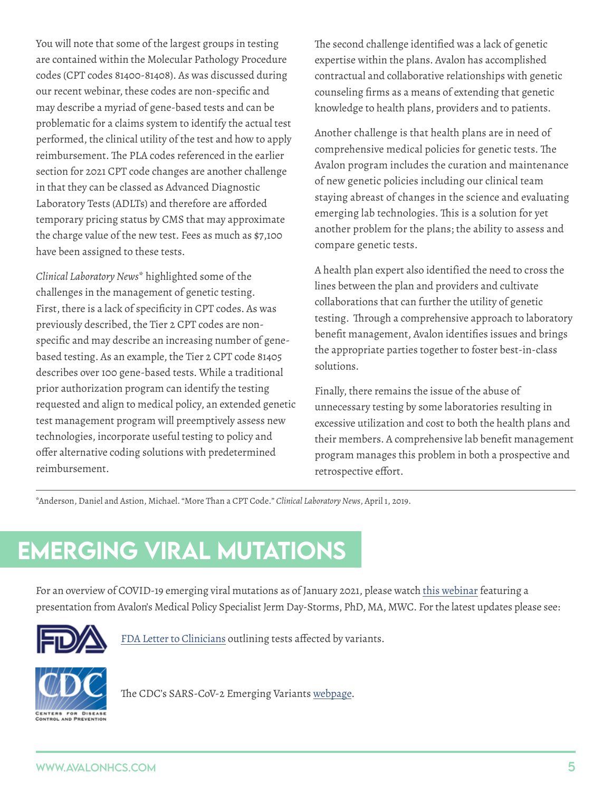<span id="page-4-0"></span>You will note that some of the largest groups in testing are contained within the Molecular Pathology Procedure codes (CPT codes 81400-81408). As was discussed during our recent webinar, these codes are non-specific and may describe a myriad of gene-based tests and can be problematic for a claims system to identify the actual test performed, the clinical utility of the test and how to apply reimbursement. The PLA codes referenced in the earlier section for 2021 CPT code changes are another challenge in that they can be classed as Advanced Diagnostic Laboratory Tests (ADLTs) and therefore are afforded temporary pricing status by CMS that may approximate the charge value of the new test. Fees as much as \$7,100 have been assigned to these tests.

*Clinical Laboratory News*\* highlighted some of the challenges in the management of genetic testing. First, there is a lack of specificity in CPT codes. As was previously described, the Tier 2 CPT codes are nonspecific and may describe an increasing number of genebased testing. As an example, the Tier 2 CPT code 81405 describes over 100 gene-based tests. While a traditional prior authorization program can identify the testing requested and align to medical policy, an extended genetic test management program will preemptively assess new technologies, incorporate useful testing to policy and offer alternative coding solutions with predetermined reimbursement.

The second challenge identified was a lack of genetic expertise within the plans. Avalon has accomplished contractual and collaborative relationships with genetic counseling firms as a means of extending that genetic knowledge to health plans, providers and to patients.

Another challenge is that health plans are in need of comprehensive medical policies for genetic tests. The Avalon program includes the curation and maintenance of new genetic policies including our clinical team staying abreast of changes in the science and evaluating emerging lab technologies. This is a solution for yet another problem for the plans; the ability to assess and compare genetic tests.

A health plan expert also identified the need to cross the lines between the plan and providers and cultivate collaborations that can further the utility of genetic testing. Through a comprehensive approach to laboratory benefit management, Avalon identifies issues and brings the appropriate parties together to foster best-in-class solutions.

Finally, there remains the issue of the abuse of unnecessary testing by some laboratories resulting in excessive utilization and cost to both the health plans and their members. A comprehensive lab benefit management program manages this problem in both a prospective and retrospective effort.

\*Anderson, Daniel and Astion, Michael. "More Than a CPT Code." *Clinical Laboratory News*, April 1, 2019.

## emerging viral mutations

For an overview of COVID-19 emerging viral mutations as of January 2021, please watch [this webinar](https://vimeo.com/502812325) featuring a presentation from Avalon's Medical Policy Specialist Jerm Day-Storms, PhD, MA, MWC. For the latest updates please see:



[FDA Letter to Clinicians](https://www.fda.gov/medical-devices/letters-health-care-providers/genetic-variants-sars-cov-2-may-lead-false-negative-results-molecular-tests-detection-sars-cov-2) outlining tests affected by variants.



The CDC's SARS-CoV-2 Emerging Variants [webpage.](https://www.cdc.gov/coronavirus/2019-ncov/more/science-and-research/scientific-brief-emerging-variants.html)